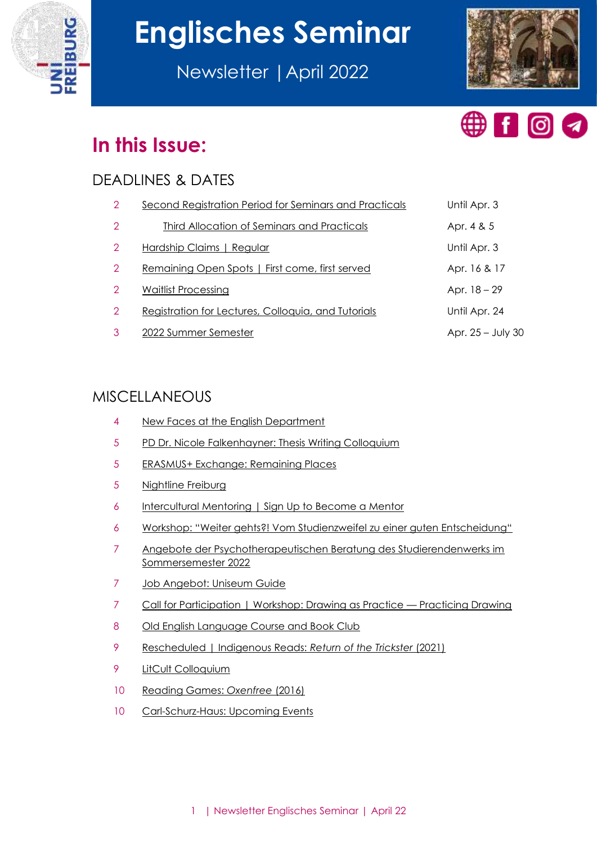

# **Englisches Seminar**

Newsletter |April 2022





# **In this Issue:**

# DEADLINES & DATES

| 2              | <b>Second Registration Period for Seminars and Practicals</b> | Until Apr. 3        |
|----------------|---------------------------------------------------------------|---------------------|
| $\overline{2}$ | Third Allocation of Seminars and Practicals                   | Apr. 4 & 5          |
| 2              | Hardship Claims   Regular                                     | Until Apr. 3        |
| 2              | Remaining Open Spots   First come, first served               | Apr. 16 & 17        |
| $\overline{2}$ | <b>Waitlist Processing</b>                                    | Apr. $18 - 29$      |
| 2              | Registration for Lectures, Colloquia, and Tutorials           | Until Apr. 24       |
|                | 2022 Summer Semester                                          | Apr. $25 - July 30$ |

# MISCELLANEOUS

- [New Faces at the English Department](#page-3-0)
- [PD Dr. Nicole Falkenhayner: Thesis Writing Colloquium](#page-4-0)
- [ERASMUS+ Exchange: Remaining Places](#page-4-1)
- [Nightline Freiburg](#page-4-2)
- [Intercultural Mentoring | Sign Up to Become a Mentor](#page-5-0)
- [Workshop: "Weiter gehts?! Vom Studienzweifel zu einer guten Entscheidung"](#page-5-1)
- [Angebote der Psychotherapeutischen Beratung des Studierendenwerks im](#page-6-0)  [Sommersemester 2022](#page-6-0)
- [Job Angebot: Uniseum Guide](#page-6-1)
- [Call for Participation | Workshop: Drawing as Practice](#page-6-2)  Practicing Drawing
- [Old English Language Course and Book Club](#page-7-0)
- [Rescheduled | Indigenous Reads:](#page-8-0) *Return of the Trickster* (2021)
- [LitCult Colloquium](#page-8-1)
- [Reading Games:](#page-9-0) *Oxenfree* (2016)
- [Carl-Schurz-Haus: Upcoming Events](#page-9-1)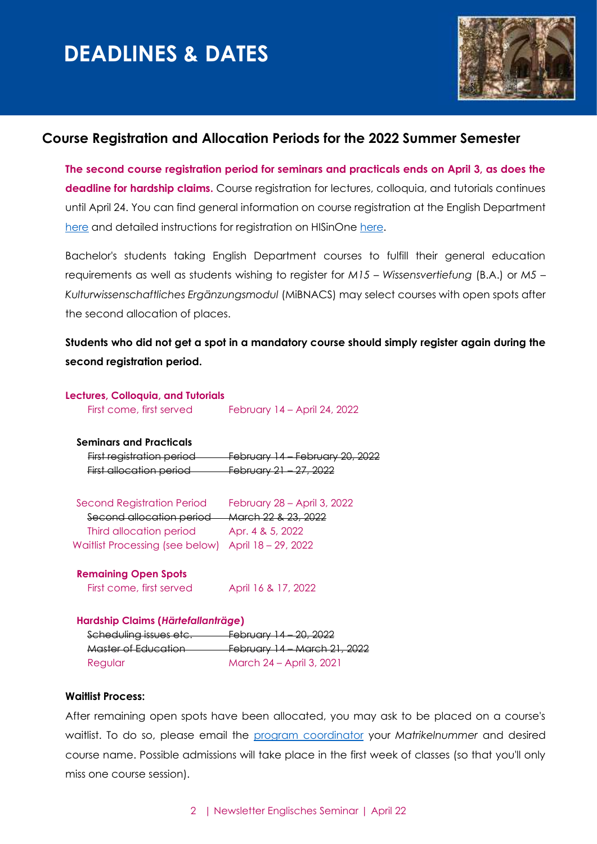

#### <span id="page-1-0"></span>**Course Registration and Allocation Periods for the 2022 Summer Semester**

**The second course registration period for seminars and practicals ends on April 3, as does the deadline for hardship claims.** Course registration for lectures, colloquia, and tutorials continues until April 24. You can find general information on course registration at the English Department [here](https://www.anglistik.uni-freiburg.de/current-students/course-registration?set_language=en) and detailed instructions for registration on HISinOne [here.](https://wiki.uni-freiburg.de/campusmanagement/doku.php?id=hisinone:studieren:belegen_en)

Bachelor's students taking English Department courses to fulfill their general education requirements as well as students wishing to register for *M15 – Wissensvertiefung* (B.A.) or *M5 – Kulturwissenschaftliches Ergänzungsmodul* (MiBNACS) may select courses with open spots after the second allocation of places.

**Students who did not get a spot in a mandatory course should simply register again during the second registration period.**

#### **Lectures, Colloquia, and Tutorials**

First come, first served February 14 – April 24, 2022

#### **Seminars and Practicals**

**First registration period** February 14 – February 20, 2022 First allocation period February 21 – 27, 2022

 Second Registration Period February 28 – April 3, 2022 Second allocation period March 22 & 23, 2022 Third allocation period Apr. 4 & 5, 2022 Waitlist Processing (see below) April 18 – 29, 2022

#### **Remaining Open Spots**

| First come, first served | April 16 & 17, 2022 |
|--------------------------|---------------------|
|--------------------------|---------------------|

#### **Hardship Claims (***Härtefallanträge***)**

| Scheduling issues etc. | February 14 - 20, 2022              |
|------------------------|-------------------------------------|
| Master of Education    | <b>February 14 – March 21, 2022</b> |
| Regular                | March 24 – April 3, 2021            |

#### **Waitlist Process:**

After remaining open spots have been allocated, you may ask to be placed on a course's waitlist. To do so, please email the [program coordinator](mailto:studienkoordination@anglistik.uni-freiburg.de) your *Matrikelnummer* and desired course name. Possible admissions will take place in the first week of classes (so that you'll only miss one course session).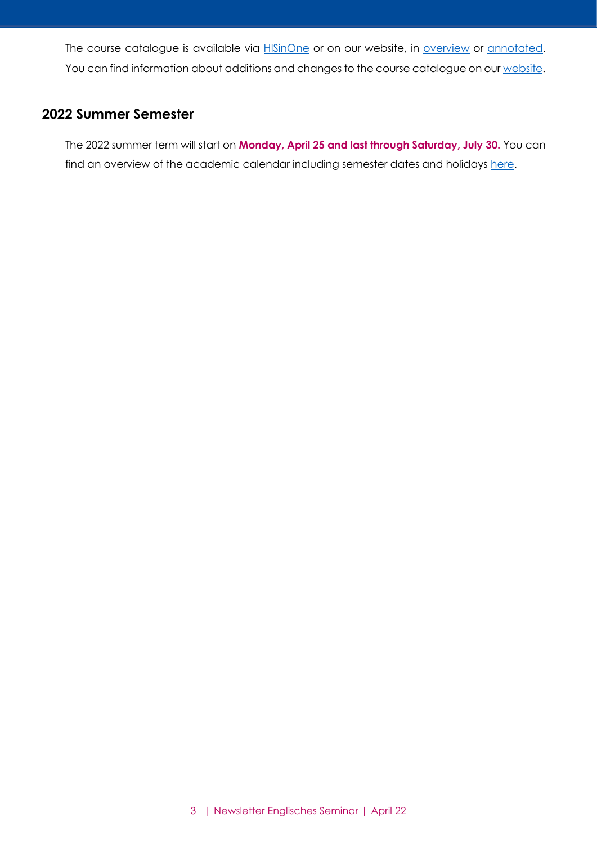The course catalogue is available via **HISinOne** or on our website, in **overview** or **annotated**. You can find information about additions and changes to the course catalogue on our [website](https://www.anglistik.uni-freiburg.de/studiumlehre/lehrveranstaltungen).

#### <span id="page-2-0"></span>**2022 Summer Semester**

The 2022 summer term will start on **Monday, April 25 and last through Saturday, July 30.** You can find an overview of the academic calendar including semester dates and holidays [here.](http://www.studium.uni-freiburg.de/en/dates-deadlines-events/semester-dates-and-teaching-periods?set_language=en)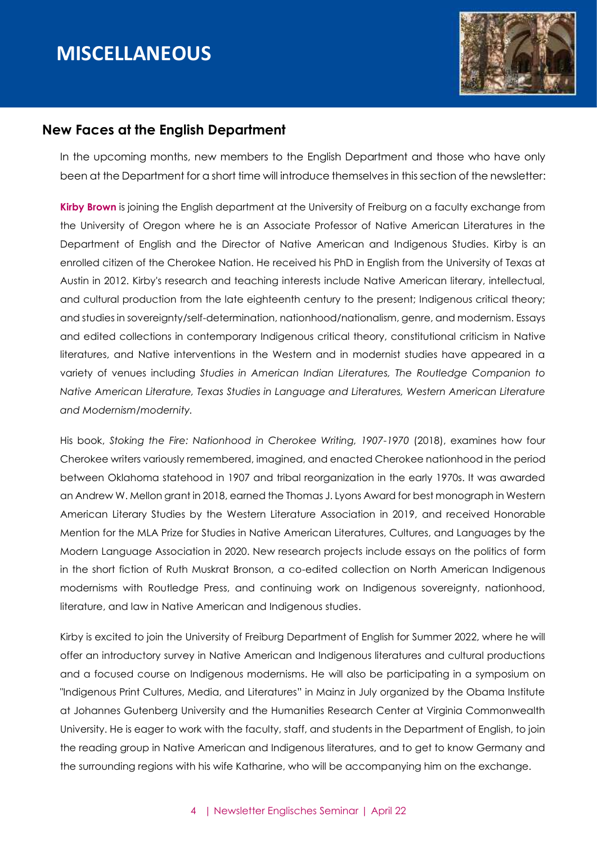# **MISCELLANEOUS**



#### <span id="page-3-0"></span>**New Faces at the English Department**

In the upcoming months, new members to the English Department and those who have only been at the Department for a short time will introduce themselves in this section of the newsletter:

**Kirby Brown** is joining the English department at the University of Freiburg on a faculty exchange from the University of Oregon where he is an Associate Professor of Native American Literatures in the Department of English and the Director of Native American and Indigenous Studies. Kirby is an enrolled citizen of the Cherokee Nation. He received his PhD in English from the University of Texas at Austin in 2012. Kirby's research and teaching interests include Native American literary, intellectual, and cultural production from the late eighteenth century to the present; Indigenous critical theory; and studies in sovereignty/self-determination, nationhood/nationalism, genre, and modernism. Essays and edited collections in contemporary Indigenous critical theory, constitutional criticism in Native literatures, and Native interventions in the Western and in modernist studies have appeared in a variety of venues including *Studies in American Indian Literatures, The Routledge Companion to Native American Literature, Texas Studies in Language and Literatures, Western American Literature and Modernism/modernity.*

His book, *Stoking the Fire: Nationhood in Cherokee Writing, 1907-1970* (2018), examines how four Cherokee writers variously remembered, imagined, and enacted Cherokee nationhood in the period between Oklahoma statehood in 1907 and tribal reorganization in the early 1970s. It was awarded an Andrew W. Mellon grant in 2018, earned the Thomas J. Lyons Award for best monograph in Western American Literary Studies by the Western Literature Association in 2019, and received Honorable Mention for the MLA Prize for Studies in Native American Literatures, Cultures, and Languages by the Modern Language Association in 2020. New research projects include essays on the politics of form in the short fiction of Ruth Muskrat Bronson, a co-edited collection on North American Indigenous modernisms with Routledge Press, and continuing work on Indigenous sovereignty, nationhood, literature, and law in Native American and Indigenous studies.

Kirby is excited to join the University of Freiburg Department of English for Summer 2022, where he will offer an introductory survey in Native American and Indigenous literatures and cultural productions and a focused course on Indigenous modernisms. He will also be participating in a symposium on "Indigenous Print Cultures, Media, and Literatures" in Mainz in July organized by the Obama Institute at Johannes Gutenberg University and the Humanities Research Center at Virginia Commonwealth University. He is eager to work with the faculty, staff, and students in the Department of English, to join the reading group in Native American and Indigenous literatures, and to get to know Germany and the surrounding regions with his wife Katharine, who will be accompanying him on the exchange.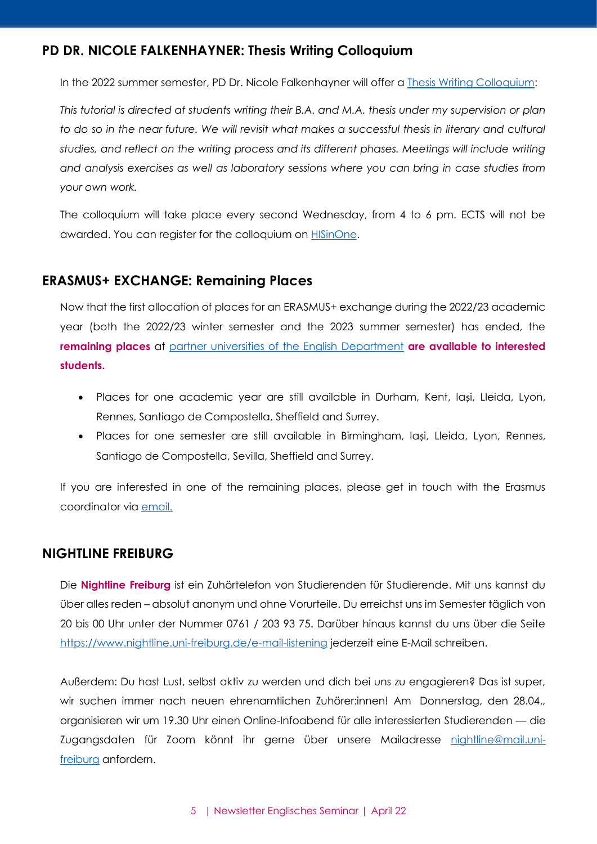# <span id="page-4-0"></span>**PD DR. NICOLE FALKENHAYNER: Thesis Writing Colloquium**

In the 2022 summer semester, PD Dr. Nicole Falkenhayner will offer a [Thesis Writing Colloquium:](https://www.campus.uni-freiburg.de/qisserver/pages/startFlow.xhtml?_flowId=detailView-flow&unitId=113902&periodId=2452)

*This tutorial is directed at students writing their B.A. and M.A. thesis under my supervision or plan to do so in the near future. We will revisit what makes a successful thesis in literary and cultural studies, and reflect on the writing process and its different phases. Meetings will include writing and analysis exercises as well as laboratory sessions where you can bring in case studies from your own work.*

The colloquium will take place every second Wednesday, from 4 to 6 pm. ECTS will not be awarded. You can register for the colloquium on **HISinOne**.

#### <span id="page-4-1"></span>**ERASMUS+ EXCHANGE: Remaining Places**

Now that the first allocation of places for an ERASMUS+ exchange during the 2022/23 academic year (both the 2022/23 winter semester and the 2023 summer semester) has ended, the **remaining places** at [partner universities of the English Department](https://www.anglistik.uni-freiburg.de/study-abroad/going/index) **are available to interested students.**

- Places for one academic year are still available in Durham, Kent, Iași, Lleida, Lyon, Rennes, Santiago de Compostella, Sheffield and Surrey.
- Places for one semester are still available in Birmingham, Iași, Lleida, Lyon, Rennes, Santiago de Compostella, Sevilla, Sheffield and Surrey.

If you are interested in one of the remaining places, please get in touch with the Erasmus coordinator via [email.](mailto:erasmus@anglistik.uni-freiburg.de)

#### <span id="page-4-2"></span>**NIGHTLINE FREIBURG**

Die **Nightline Freiburg** ist ein Zuhörtelefon von Studierenden für Studierende. Mit uns kannst du über alles reden – absolut anonym und ohne Vorurteile. Du erreichst uns im Semester täglich von 20 bis 00 Uhr unter der Nummer 0761 / 203 93 75. Darüber hinaus kannst du uns über die Seite <https://www.nightline.uni-freiburg.de/e-mail-listening> jederzeit eine E-Mail schreiben.

Außerdem: Du hast Lust, selbst aktiv zu werden und dich bei uns zu engagieren? Das ist super, wir suchen immer nach neuen ehrenamtlichen Zuhörer:innen! Am Donnerstag, den 28.04., organisieren wir um 19.30 Uhr einen Online-Infoabend für alle interessierten Studierenden — die Zugangsdaten für Zoom könnt ihr gerne über unsere Mailadresse [nightline@mail.uni](mailto:nightline@mail.uni-freiburg)[freiburg](mailto:nightline@mail.uni-freiburg) anfordern.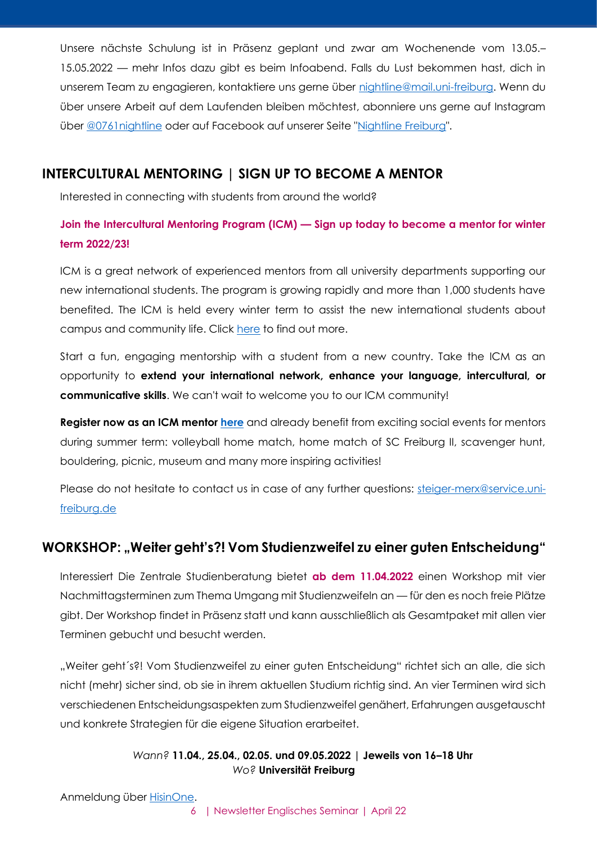Unsere nächste Schulung ist in Präsenz geplant und zwar am Wochenende vom 13.05.– 15.05.2022 — mehr Infos dazu gibt es beim Infoabend. Falls du Lust bekommen hast, dich in unserem Team zu engagieren, kontaktiere uns gerne über [nightline@mail.uni-freiburg.](mailto:nightline@mail.uni-freiburg) Wenn du über unsere Arbeit auf dem Laufenden bleiben möchtest, abonniere uns gerne auf Instagram über [@0761nightline](https://www.instagram.com/0761nightline) oder auf Facebook auf unserer Seite ["Nightline Freiburg"](https://www.facebook.com/FreiburgNightline/).

## <span id="page-5-0"></span>**INTERCULTURAL MENTORING | SIGN UP TO BECOME A MENTOR**

Interested in connecting with students from around the world?

# **Join the Intercultural Mentoring Program (ICM) — Sign up today to become a mentor for winter term 2022/23!**

ICM is a great network of experienced mentors from all university departments supporting our new international students. The program is growing rapidly and more than 1,000 students have benefited. The ICM is held every winter term to assist the new international students about campus and community life. Click [here](https://www.mentoring.uni-freiburg.de/intercultural) to find out more.

Start a fun, engaging mentorship with a student from a new country. Take the ICM as an opportunity to **extend your international network, enhance your language, intercultural, or communicative skills**. We can't wait to welcome you to our ICM community!

**Register now as an ICM mentor [here](https://www.mentoring.uni-freiburg.de/intercultural/registration-mentors)** and already benefit from exciting social events for mentors during summer term: volleyball home match, home match of SC Freiburg II, scavenger hunt, bouldering, picnic, museum and many more inspiring activities!

Please do not hesitate to contact us in case of any further questions: [steiger-merx@service.uni](mailto:steiger-merx@service.uni-freiburg.de)[freiburg.de](mailto:steiger-merx@service.uni-freiburg.de)

# <span id="page-5-1"></span>**WORKSHOP: "Weiter geht's?! Vom Studienzweifel zu einer guten Entscheidung"**

Interessiert Die Zentrale Studienberatung bietet **ab dem 11.04.2022** einen Workshop mit vier Nachmittagsterminen zum Thema Umgang mit Studienzweifeln an — für den es noch freie Plätze gibt. Der Workshop findet in Präsenz statt und kann ausschließlich als Gesamtpaket mit allen vier Terminen gebucht und besucht werden.

"Weiter geht´s?! Vom Studienzweifel zu einer guten Entscheidung" richtet sich an alle, die sich nicht (mehr) sicher sind, ob sie in ihrem aktuellen Studium richtig sind. An vier Terminen wird sich verschiedenen Entscheidungsaspekten zum Studienzweifel genähert, Erfahrungen ausgetauscht und konkrete Strategien für die eigene Situation erarbeitet.

#### *Wann?* **11.04., 25.04., 02.05. und 09.05.2022 | Jeweils von 16–18 Uhr** *Wo?* **Universität Freiburg**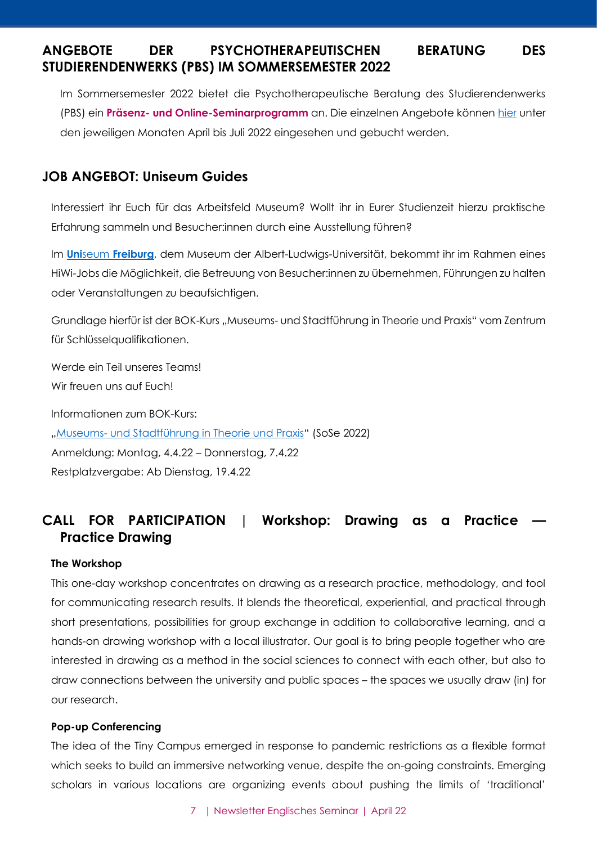# <span id="page-6-0"></span>**ANGEBOTE DER PSYCHOTHERAPEUTISCHEN BERATUNG DES STUDIERENDENWERKS (PBS) IM SOMMERSEMESTER 2022**

Im Sommersemester 2022 bietet die Psychotherapeutische Beratung des Studierendenwerks (PBS) ein **Präsenz- und Online-Seminarprogramm** an. Die einzelnen Angebote können [hier](https://www.swfr.de/beratung-soziales/psychotherapeutische-beratung/seminare) unter den jeweiligen Monaten April bis Juli 2022 eingesehen und gebucht werden.

### <span id="page-6-1"></span>**JOB ANGEBOT: Uniseum Guides**

Interessiert ihr Euch für das Arbeitsfeld Museum? Wollt ihr in Eurer Studienzeit hierzu praktische Erfahrung sammeln und Besucher:innen durch eine Ausstellung führen?

Im **Uni**seum **[Freiburg](https://www.uniseum.uni-freiburg.de/)**, dem Museum der Albert-Ludwigs-Universität, bekommt ihr im Rahmen eines HiWi-Jobs die Möglichkeit, die Betreuung von Besucher:innen zu übernehmen, Führungen zu halten oder Veranstaltungen zu beaufsichtigen.

Grundlage hierfür ist der BOK-Kurs "Museums- und Stadtführung in Theorie und Praxis" vom Zentrum für Schlüsselqualifikationen.

Werde ein Teil unseres Teams! Wir freuen uns auf Euch! Informationen zum BOK-Kurs: "Museums- [und Stadtführung in Theorie und Praxis](https://campus.uni-freiburg.de/qisserver/pages/startFlow.xhtml?_flowId=detailView-flow&unitId=1920&periodId=2452&navigationPosition=studiesOffered,searchCourses)" (SoSe 2022) Anmeldung: Montag, 4.4.22 – Donnerstag, 7.4.22 Restplatzvergabe: Ab Dienstag, 19.4.22

# <span id="page-6-2"></span>**CALL FOR PARTICIPATION | Workshop: Drawing as a Practice — Practice Drawing**

#### **The Workshop**

This one-day workshop concentrates on drawing as a research practice, methodology, and tool for communicating research results. It blends the theoretical, experiential, and practical through short presentations, possibilities for group exchange in addition to collaborative learning, and a hands-on drawing workshop with a local illustrator. Our goal is to bring people together who are interested in drawing as a method in the social sciences to connect with each other, but also to draw connections between the university and public spaces – the spaces we usually draw (in) for our research.

#### **Pop-up Conferencing**

The idea of the Tiny Campus emerged in response to pandemic restrictions as a flexible format which seeks to build an immersive networking venue, despite the on-going constraints. Emerging scholars in various locations are organizing events about pushing the limits of 'traditional'

7 | Newsletter Englisches Seminar | April 22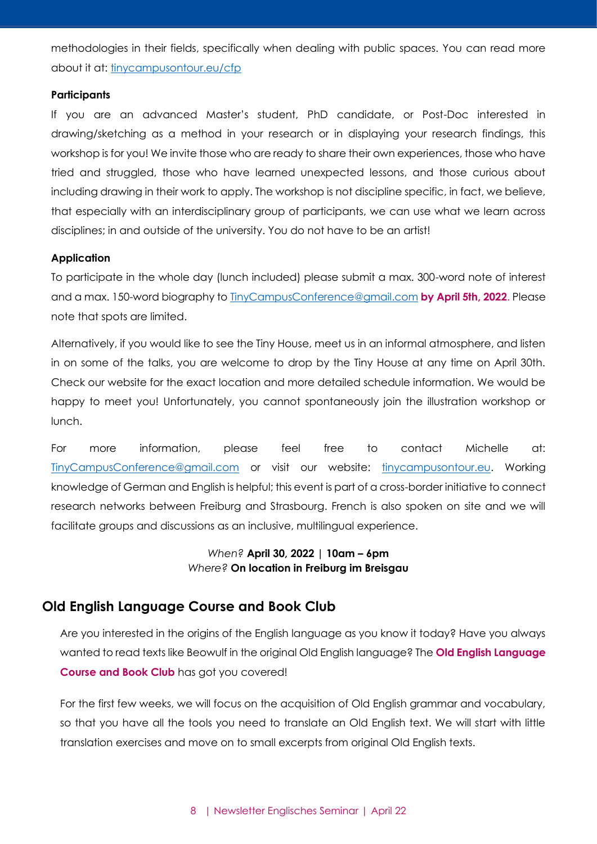methodologies in their fields, specifically when dealing with public spaces. You can read more about it at: [tinycampusontour.eu/cfp](http://tinycampusontour.eu/cfp)

#### **Participants**

If you are an advanced Master's student, PhD candidate, or Post-Doc interested in drawing/sketching as a method in your research or in displaying your research findings, this workshop is for you! We invite those who are ready to share their own experiences, those who have tried and struggled, those who have learned unexpected lessons, and those curious about including drawing in their work to apply. The workshop is not discipline specific, in fact, we believe, that especially with an interdisciplinary group of participants, we can use what we learn across disciplines; in and outside of the university. You do not have to be an artist!

#### **Application**

To participate in the whole day (lunch included) please submit a max. 300-word note of interest and a max. 150-word biography t[o TinyCampusConference@gmail.com](mailto:TinyCampusConference@gmail.com) **by April 5th, 2022**. Please note that spots are limited.

Alternatively, if you would like to see the Tiny House, meet us in an informal atmosphere, and listen in on some of the talks, you are welcome to drop by the Tiny House at any time on April 30th. Check our website for the exact location and more detailed schedule information. We would be happy to meet you! Unfortunately, you cannot spontaneously join the illustration workshop or lunch.

For more information, please feel free to contact Michelle at: [TinyCampusConference@gmail.com](mailto:TinyCampusConference@gmail.com) or visit our website: [tinycampusontour.eu.](http://tinycampusontour.eu/) Working knowledge of German and English is helpful; this event is part of a cross-border initiative to connect research networks between Freiburg and Strasbourg. French is also spoken on site and we will facilitate groups and discussions as an inclusive, multilingual experience.

#### *When?* **April 30, 2022 | 10am – 6pm** *Where?* **On location in Freiburg im Breisgau**

#### <span id="page-7-0"></span>**Old English Language Course and Book Club**

Are you interested in the origins of the English language as you know it today? Have you always wanted to read texts like Beowulf in the original Old English language? The **Old English Language Course and Book Club** has got you covered!

For the first few weeks, we will focus on the acquisition of Old English grammar and vocabulary, so that you have all the tools you need to translate an Old English text. We will start with little translation exercises and move on to small excerpts from original Old English texts.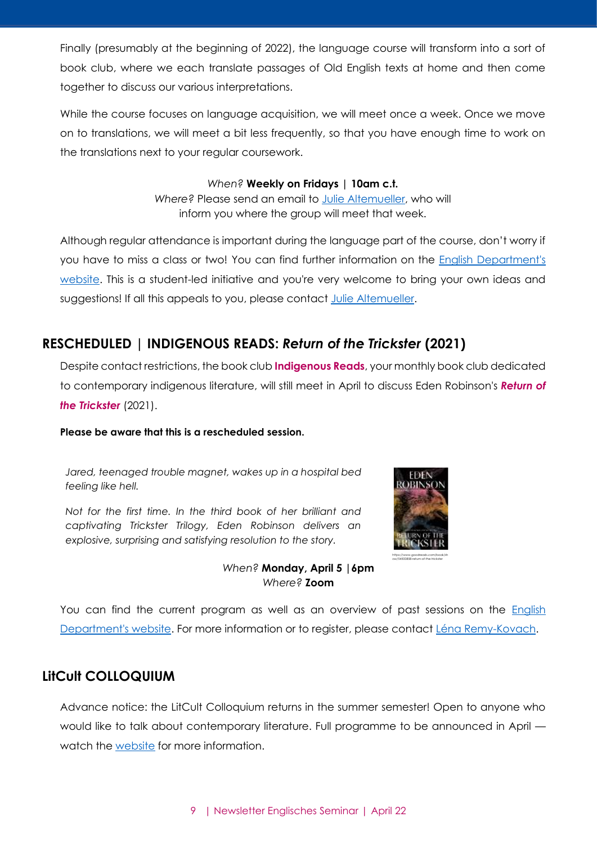Finally (presumably at the beginning of 2022), the language course will transform into a sort of book club, where we each translate passages of Old English texts at home and then come together to discuss our various interpretations.

While the course focuses on language acquisition, we will meet once a week. Once we move on to translations, we will meet a bit less frequently, so that you have enough time to work on the translations next to your regular coursework.

#### *When?* **Weekly on Fridays | 10am c.t.**

*Where?* Please send an email to [Julie Altemueller,](mailto:julie.altemueller@gmail.com) who will inform you where the group will meet that week.

Although regular attendance is important during the language part of the course, don't worry if you have to miss a class or two! You can find further information on the English Department's [website.](https://www.anglistik.uni-freiburg.de/readinggroups/old-english-book-club) This is a student-led initiative and you're very welcome to bring your own ideas and suggestions! If all this appeals to you, please contact [Julie Altemueller.](mailto:julie.altemueller@gmail.com)

# <span id="page-8-0"></span>**RESCHEDULED | INDIGENOUS READS:** *Return of the Trickster* **(2021)**

Despite contact restrictions, the book club **Indigenous Reads**, your monthly book club dedicated to contemporary indigenous literature, will still meet in April to discuss Eden Robinson's *Return of the Trickster* (2021).

#### **Please be aware that this is a rescheduled session.**

*Jared, teenaged trouble magnet, wakes up in a hospital bed feeling like hell.*

*Not for the first time. In the third book of her brilliant and captivating Trickster Trilogy, Eden Robinson delivers an explosive, surprising and satisfying resolution to the story.*



ow/54500858-return-of-the-trickster

*When?* **Monday, April 5 |6pm** *Where?* **Zoom**

You can find the current program as well as an overview of past sessions on the [English](https://www.anglistik.uni-freiburg.de/readinggroups/indigreads)  [Department's website.](https://www.anglistik.uni-freiburg.de/readinggroups/indigreads) For more information or to register, please contact [Léna Remy-Kovach.](mailto:lenaremykovach@gmail.com)

# <span id="page-8-1"></span>**LitCult COLLOQUIUM**

Advance notice: the LitCult Colloquium returns in the summer semester! Open to anyone who would like to talk about contemporary literature. Full programme to be announced in April watch the [website](https://www.anglistik.uni-freiburg.de/readinggroups/litcult-colloquium) for more information.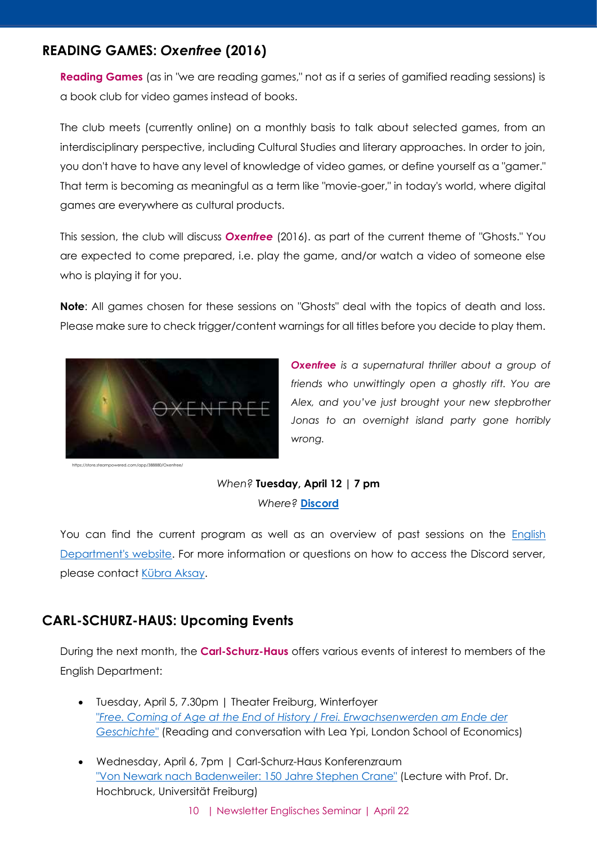# <span id="page-9-0"></span>**READING GAMES:** *Oxenfree* **(2016)**

**Reading Games** (as in "we are reading games," not as if a series of gamified reading sessions) is a book club for video games instead of books.

The club meets (currently online) on a monthly basis to talk about selected games, from an interdisciplinary perspective, including Cultural Studies and literary approaches. In order to join, you don't have to have any level of knowledge of video games, or define yourself as a "gamer." That term is becoming as meaningful as a term like "movie-goer," in today's world, where digital games are everywhere as cultural products.

This session, the club will discuss *Oxenfree* (2016). as part of the current theme of "Ghosts." You are expected to come prepared, i.e. play the game, and/or watch a video of someone else who is playing it for you.

**Note**: All games chosen for these sessions on "Ghosts" deal with the topics of death and loss. Please make sure to check trigger/content warnings for all titles before you decide to play them.



https://store.steampowered.com/app/388880/Oxenfree/

*Oxenfree is a supernatural thriller about a group of friends who unwittingly open a ghostly rift. You are Alex, and you've just brought your new stepbrother Jonas to an overnight island party gone horribly wrong.*

## *When?* **Tuesday, April 12 | 7 pm** *Where?* **[Discord](https://discordapp.com/invite/x6TjNYm)**

You can find the current program as well as an overview of past sessions on the [English](https://www.anglistik.uni-freiburg.de/readinggroups/games)  [Department's website.](https://www.anglistik.uni-freiburg.de/readinggroups/games) For more information or questions on how to access the Discord server, please contact [Kübra Aksay.](mailto:kubraaksay@gmail.com)

# <span id="page-9-1"></span>**CARL-SCHURZ-HAUS: Upcoming Events**

During the next month, the **Carl-Schurz-Haus** offers various events of interest to members of the English Department:

- Tuesday, April 5, 7.30pm | Theater Freiburg, Winterfoyer "*[Free. Coming of Age at the End of Histor](http://www.carl-schurz-haus.de/veranstaltungen/einzelansicht.html?tx_tdcalendar_pi1%5Byear%5D=2022&tx_tdcalendar_pi1%5Bmonth%5D=04&tx_tdcalendar_pi1%5Bday%5D=05&tx_tdcalendar_pi1%5Bevent%5D=1378&cHash=e5cb3f9fd07055e53ac684175164c919)*y / *Frei. Erwachsenwerden am Ende der [Geschichte](http://www.carl-schurz-haus.de/veranstaltungen/einzelansicht.html?tx_tdcalendar_pi1%5Byear%5D=2022&tx_tdcalendar_pi1%5Bmonth%5D=04&tx_tdcalendar_pi1%5Bday%5D=05&tx_tdcalendar_pi1%5Bevent%5D=1378&cHash=e5cb3f9fd07055e53ac684175164c919)*" (Reading and conversation with Lea Ypi, London School of Economics)
- Wednesday, April 6, 7pm | Carl-Schurz-Haus Konferenzraum ["Von Newark nach Badenweiler: 150 Jahre Stephen Crane"](http://www.carl-schurz-haus.de/veranstaltungen/einzelansicht.html?tx_tdcalendar_pi1%5Byear%5D=2022&tx_tdcalendar_pi1%5Bmonth%5D=04&tx_tdcalendar_pi1%5Bday%5D=06&tx_tdcalendar_pi1%5Bevent%5D=1359&cHash=8ca38263c2695c0e78dd30d4563a8162) (Lecture with Prof. Dr. Hochbruck, Universität Freiburg)
	- 10 | Newsletter Englisches Seminar | April 22